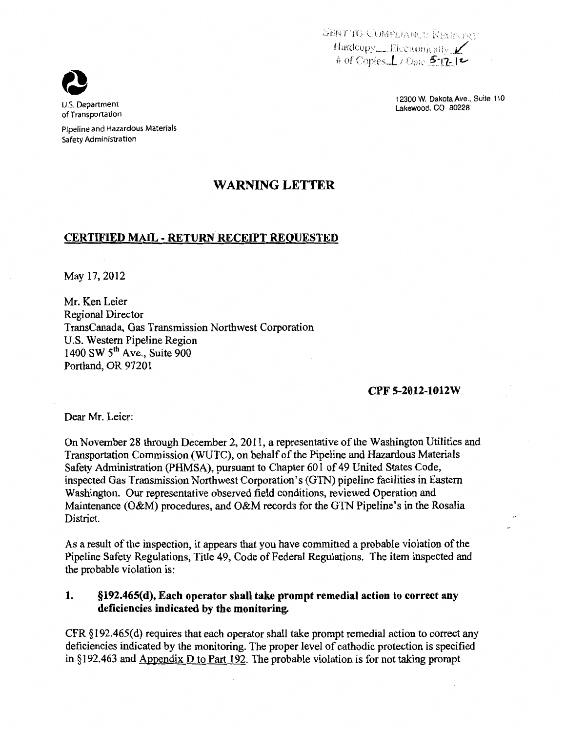SENT TO COMPLIANCY NEURVEY Hardcopy \_\_ Electronically  $\nu'$ # of Copies *.L. Date* 5-17-12

> 12300 W, Dakota Ave., Suite 110 Lakewood, CO 80228



Pipeline and Hazardous Materials Safety Administration

## **WARNING LETTER**

## **CERTIFIED MAIL- RETURN RECEIPT REQUESTED**

May 17,2012

Mr. Ken Leier Regional Director TransCanada, Gas Transmission Northwest Corporation U.S. Western Pipeline Region 1400 SW 5<sup>th</sup> Ave., Suite 900 Portland, OR 97201

## **CPF 5-2012-1012W**

Dear Mr. Leier:

On November 28 through December 2, 2011, a representative of the Washington Utilities and Transportation Commission (WUTC), on behalf of the Pipeline and Hazardous Materials Safety Administration (PHMSA), pursuant to Chapter 601 of 49 United States Code, inspected Gas Transmission Northwest Corporation's (GTN) pipeline facilities in Eastern Washington. Our representative observed field conditions, reviewed Operation and Maintenance (O&M) procedures, and O&M records for the GTN Pipeline's in the Rosalia District.

As a result of the inspection, it appears that you have committed a probable violation of the Pipeline Safety Regulations, Title 49, Code of Federal Regulations. The item inspected and the probable violation is:

## **1. §192.465(d), Each operator shall take prompt remedial action to correct any deficiencies indicated by the monitoring.**

CFR §192.465(d) requires that each operator shall take prompt remedial action to correct any deficiencies indicated by the monitoring. The proper level of cathodic protection is specified in *§* 192.463 and Appendix D to Part 192. The probable violation is for not taking prompt